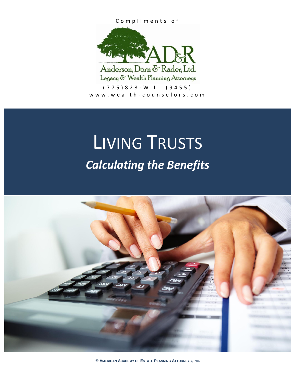#### Compliments of



Legacy & Wealth Planning Attorneys

 $(775)823 - WILL (9455)$ www.wealth-counselors.com

# LIVING TRUSTS *Calculating the Benefits*



**© AMERICAN ACADEMY OF ESTATE PLANNING ATTORNEYS, INC.**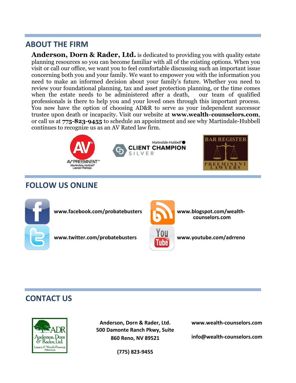# **ABOUT THE FIRM**

**Anderson, Dorn & Rader, Ltd.** is dedicated to providing you with quality estate planning resources so you can become familiar with all of the existing options. When you visit or call our office, we want you to feel comfortable discussing such an important issue concerning both you and your family. We want to empower you with the information you need to make an informed decision about your family's future. Whether you need to review your foundational planning, tax and asset protection planning, or the time comes when the estate needs to be administered after a death, our team of qualified professionals is there to help you and your loved ones through this important process. You now have the option of choosing AD&R to serve as your independent successor trustee upon death or incapacity. Visit our website at **www.wealth-counselors.com**, or call us at **775-823-9455** to schedule an appointment and see why Martindale-Hubbell continues to recognize us as an AV Rated law firm.







# **FOLLOW US ONLINE**



www.facebook.com/probatebusters<br> **WWW.blogspot.com/wealth-**

www.twitter.com/probatebusters **www.youtube.com/adrreno** 



**counselors.com** 

# **CONTACT US**



**Anderson, Dorn & Rader, Ltd. 500 Damonte Ranch Pkwy, Suite 860 Reno, NV 89521**

**www.wealth-counselors.com**

**info@wealth-counselors.com**

**(775) 823-9455**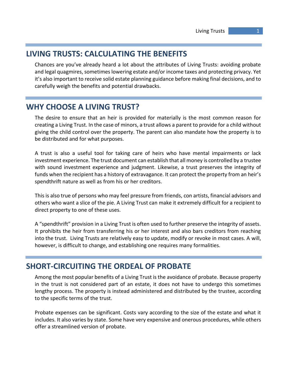# **LIVING TRUSTS: CALCULATING THE BENEFITS**

Chances are you've already heard a lot about the attributes of Living Trusts: avoiding probate and legal quagmires, sometimes lowering estate and/or income taxes and protecting privacy. Yet it's also important to receive solid estate planning guidance before making final decisions, and to carefully weigh the benefits and potential drawbacks.

# **WHY CHOOSE A LIVING TRUST?**

The desire to ensure that an heir is provided for materially is the most common reason for creating a Living Trust. In the case of minors, a trust allows a parent to provide for a child without giving the child control over the property. The parent can also mandate how the property is to be distributed and for what purposes.

A trust is also a useful tool for taking care of heirs who have mental impairments or lack investment experience. The trust document can establish that all money is controlled by a trustee with sound investment experience and judgment. Likewise, a trust preserves the integrity of funds when the recipient has a history of extravagance. It can protect the property from an heir's spendthrift nature as well as from his or her creditors.

This is also true of persons who may feel pressure from friends, con artists, financial advisors and others who want a slice of the pie. A Living Trust can make it extremely difficult for a recipient to direct property to one of these uses.

A "spendthrift" provision in a Living Trust is often used to further preserve the integrity of assets. It prohibits the heir from transferring his or her interest and also bars creditors from reaching into the trust. Living Trusts are relatively easy to update, modify or revoke in most cases. A will, however, is difficult to change, and establishing one requires many formalities.

# **SHORT-CIRCUITING THE ORDEAL OF PROBATE**

Among the most popular benefits of a Living Trust is the avoidance of probate. Because property in the trust is not considered part of an estate, it does not have to undergo this sometimes lengthy process. The property is instead administered and distributed by the trustee, according to the specific terms of the trust.

Probate expenses can be significant. Costs vary according to the size of the estate and what it includes. It also varies by state. Some have very expensive and onerous procedures, while others offer a streamlined version of probate.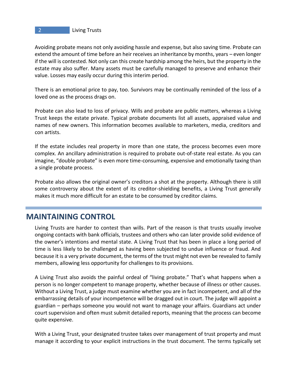#### **2 Living Trusts**

Avoiding probate means not only avoiding hassle and expense, but also saving time. Probate can extend the amount of time before an heir receives an inheritance by months, years – even longer if the will is contested. Not only can this create hardship among the heirs, but the property in the estate may also suffer. Many assets must be carefully managed to preserve and enhance their value. Losses may easily occur during this interim period.

There is an emotional price to pay, too. Survivors may be continually reminded of the loss of a loved one as the process drags on.

Probate can also lead to loss of privacy. Wills and probate are public matters, whereas a Living Trust keeps the estate private. Typical probate documents list all assets, appraised value and names of new owners. This information becomes available to marketers, media, creditors and con artists.

If the estate includes real property in more than one state, the process becomes even more complex. An ancillary administration is required to probate out-of-state real estate. As you can imagine, "double probate" is even more time-consuming, expensive and emotionally taxing than a single probate process.

Probate also allows the original owner's creditors a shot at the property. Although there is still some controversy about the extent of its creditor-shielding benefits, a Living Trust generally makes it much more difficult for an estate to be consumed by creditor claims.

# **MAINTAINING CONTROL**

Living Trusts are harder to contest than wills. Part of the reason is that trusts usually involve ongoing contacts with bank officials, trustees and others who can later provide solid evidence of the owner's intentions and mental state. A Living Trust that has been in place a long period of time is less likely to be challenged as having been subjected to undue influence or fraud. And because it is a very private document, the terms of the trust might not even be revealed to family members, allowing less opportunity for challenges to its provisions.

A Living Trust also avoids the painful ordeal of "living probate." That's what happens when a person is no longer competent to manage property, whether because of illness or other causes. Without a Living Trust, a judge must examine whether you are in fact incompetent, and all of the embarrassing details of your incompetence will be dragged out in court. The judge will appoint a guardian – perhaps someone you would not want to manage your affairs. Guardians act under court supervision and often must submit detailed reports, meaning that the process can become quite expensive.

With a Living Trust, your designated trustee takes over management of trust property and must manage it according to your explicit instructions in the trust document. The terms typically set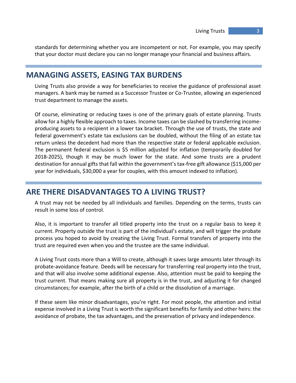standards for determining whether you are incompetent or not. For example, you may specify that your doctor must declare you can no longer manage your financial and business affairs.

# **MANAGING ASSETS, EASING TAX BURDENS**

Living Trusts also provide a way for beneficiaries to receive the guidance of professional asset managers. A bank may be named as a Successor Trustee or Co-Trustee, allowing an experienced trust department to manage the assets.

Of course, eliminating or reducing taxes is one of the primary goals of estate planning. Trusts allow for a highly flexible approach to taxes. Income taxes can be slashed by transferring incomeproducing assets to a recipient in a lower tax bracket. Through the use of trusts, the state and federal government's estate tax exclusions can be doubled, without the filing of an estate tax return unless the decedent had more than the respective state or federal applicable exclusion. The permanent federal exclusion is \$5 million adjusted for inflation (temporarily doubled for 2018-2025), though it may be much lower for the state. And some trusts are a prudent destination for annual gifts that fall within the government's tax-free gift allowance (\$15,000 per year for individuals, \$30,000 a year for couples, with this amount indexed to inflation).

## **ARE THERE DISADVANTAGES TO A LIVING TRUST?**

A trust may not be needed by all individuals and families. Depending on the terms, trusts can result in some loss of control.

Also, it is important to transfer all titled property into the trust on a regular basis to keep it current. Property outside the trust is part of the individual's estate, and will trigger the probate process you hoped to avoid by creating the Living Trust. Formal transfers of property into the trust are required even when you and the trustee are the same individual.

A Living Trust costs more than a Will to create, although it saves large amounts later through its probate-avoidance feature. Deeds will be necessary for transferring real property into the trust, and that will also involve some additional expense. Also, attention must be paid to keeping the trust current. That means making sure all property is in the trust, and adjusting it for changed circumstances; for example, after the birth of a child or the dissolution of a marriage.

If these seem like minor disadvantages, you're right. For most people, the attention and initial expense involved in a Living Trust is worth the significant benefits for family and other heirs: the avoidance of probate, the tax advantages, and the preservation of privacy and independence.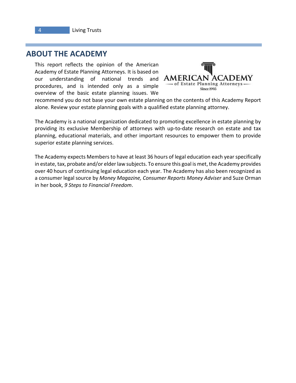# **ABOUT THE ACADEMY**

This report reflects the opinion of the American Academy of Estate Planning Attorneys. It is based on our understanding of national trends and procedures, and is intended only as a simple overview of the basic estate planning issues. We



recommend you do not base your own estate planning on the contents of this Academy Report alone. Review your estate planning goals with a qualified estate planning attorney.

The Academy is a national organization dedicated to promoting excellence in estate planning by providing its exclusive Membership of attorneys with up-to-date research on estate and tax planning, educational materials, and other important resources to empower them to provide superior estate planning services.

The Academy expects Members to have at least 36 hours of legal education each year specifically in estate, tax, probate and/or elder law subjects. To ensure this goal is met, the Academy provides over 40 hours of continuing legal education each year. The Academy has also been recognized as a consumer legal source by *Money Magazine, Consumer Reports Money Adviser* and Suze Orman in her book, *9 Steps to Financial Freedom*.